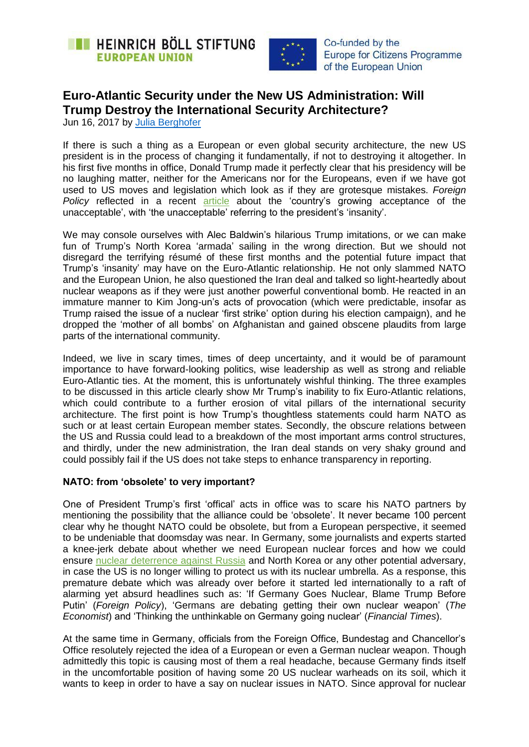



Co-funded by the **Europe for Citizens Programme** of the European Union

# **Euro-Atlantic Security under the New US Administration: Will Trump Destroy the International Security Architecture?**

Jun 16, 2017 by [Julia Berghofer](https://eu.boell.org/en/person/julia-berghofer)

If there is such a thing as a European or even global security architecture, the new US president is in the process of changing it fundamentally, if not to destroying it altogether. In his first five months in office, Donald Trump made it perfectly clear that his presidency will be no laughing matter, neither for the Americans nor for the Europeans, even if we have got used to US moves and legislation which look as if they are grotesque mistakes. *Foreign Policy* reflected in a recent [article](http://foreignpolicy.com/2017/04/25/america-is-getting-used-to-trumps-insanity/) about the "country"s growing acceptance of the unacceptable', with 'the unacceptable' referring to the president's 'insanity'.

We may console ourselves with Alec Baldwin's hilarious Trump imitations, or we can make fun of Trump"s North Korea "armada" sailing in the wrong direction. But we should not disregard the terrifying résumé of these first months and the potential future impact that Trump"s "insanity" may have on the Euro-Atlantic relationship. He not only slammed NATO and the European Union, he also questioned the Iran deal and talked so light-heartedly about nuclear weapons as if they were just another powerful conventional bomb. He reacted in an immature manner to Kim Jong-un's acts of provocation (which were predictable, insofar as Trump raised the issue of a nuclear "first strike" option during his election campaign), and he dropped the "mother of all bombs" on Afghanistan and gained obscene plaudits from large parts of the international community.

Indeed, we live in scary times, times of deep uncertainty, and it would be of paramount importance to have forward-looking politics, wise leadership as well as strong and reliable Euro-Atlantic ties. At the moment, this is unfortunately wishful thinking. The three examples to be discussed in this article clearly show Mr Trump"s inability to fix Euro-Atlantic relations, which could contribute to a further erosion of vital pillars of the international security architecture. The first point is how Trump"s thoughtless statements could harm NATO as such or at least certain European member states. Secondly, the obscure relations between the US and Russia could lead to a breakdown of the most important arms control structures, and thirdly, under the new administration, the Iran deal stands on very shaky ground and could possibly fail if the US does not take steps to enhance transparency in reporting.

### **NATO: from 'obsolete' to very important?**

One of President Trump"s first "offical" acts in office was to scare his NATO partners by mentioning the possibility that the alliance could be "obsolete". It never became 100 percent clear why he thought NATO could be obsolete, but from a European perspective, it seemed to be undeniable that doomsday was near. In Germany, some journalists and experts started a knee-jerk debate about whether we need European nuclear forces and how we could ensure [nuclear deterrence against Russia](http://nationalinterest.org/feature/time-european-nuclear-deterrent-19053) and North Korea or any other potential adversary, in case the US is no longer willing to protect us with its nuclear umbrella. As a response, this premature debate which was already over before it started led internationally to a raft of alarming yet absurd headlines such as: "If Germany Goes Nuclear, Blame Trump Before Putin" (*Foreign Policy*), "Germans are debating getting their own nuclear weapon" (*The Economist*) and "Thinking the unthinkable on Germany going nuclear" (*Financial Times*).

At the same time in Germany, officials from the Foreign Office, Bundestag and Chancellor"s Office resolutely rejected the idea of a European or even a German nuclear weapon. Though admittedly this topic is causing most of them a real headache, because Germany finds itself in the uncomfortable position of having some 20 US nuclear warheads on its soil, which it wants to keep in order to have a say on nuclear issues in NATO. Since approval for nuclear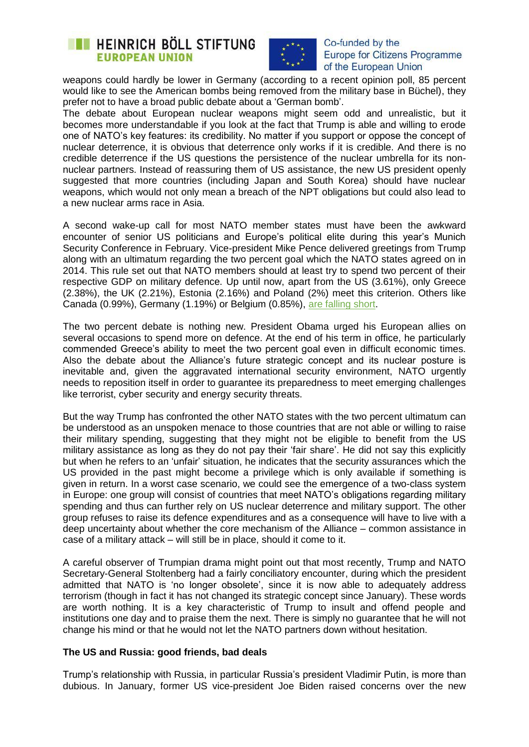# **EXECUTE HEINRICH BÖLL STIFTUNG EUROPEAN UNION**



#### Co-funded by the **Europe for Citizens Programme** of the European Union

weapons could hardly be lower in Germany (according to a recent opinion poll, 85 percent would like to see the American bombs being removed from the military base in Büchel), they prefer not to have a broad public debate about a "German bomb".

The debate about European nuclear weapons might seem odd and unrealistic, but it becomes more understandable if you look at the fact that Trump is able and willing to erode one of NATO"s key features: its credibility. No matter if you support or oppose the concept of nuclear deterrence, it is obvious that deterrence only works if it is credible. And there is no credible deterrence if the US questions the persistence of the nuclear umbrella for its nonnuclear partners. Instead of reassuring them of US assistance, the new US president openly suggested that more countries (including Japan and South Korea) should have nuclear weapons, which would not only mean a breach of the NPT obligations but could also lead to a new nuclear arms race in Asia.

A second wake-up call for most NATO member states must have been the awkward encounter of senior US politicians and Europe"s political elite during this year"s Munich Security Conference in February. Vice-president Mike Pence delivered greetings from Trump along with an ultimatum regarding the two percent goal which the NATO states agreed on in 2014. This rule set out that NATO members should at least try to spend two percent of their respective GDP on military defence. Up until now, apart from the US (3.61%), only Greece (2.38%), the UK (2.21%), Estonia (2.16%) and Poland (2%) meet this criterion. Others like Canada (0.99%), Germany (1.19%) or Belgium (0.85%), [are falling short.](http://www.businessinsider.de/nato-share-breakdown-country-2017-2?r=US&IR=T)

The two percent debate is nothing new. President Obama urged his European allies on several occasions to spend more on defence. At the end of his term in office, he particularly commended Greece's ability to meet the two percent goal even in difficult economic times. Also the debate about the Alliance"s future strategic concept and its nuclear posture is inevitable and, given the aggravated international security environment, NATO urgently needs to reposition itself in order to guarantee its preparedness to meet emerging challenges like terrorist, cyber security and energy security threats.

But the way Trump has confronted the other NATO states with the two percent ultimatum can be understood as an unspoken menace to those countries that are not able or willing to raise their military spending, suggesting that they might not be eligible to benefit from the US military assistance as long as they do not pay their "fair share". He did not say this explicitly but when he refers to an "unfair" situation, he indicates that the security assurances which the US provided in the past might become a privilege which is only available if something is given in return. In a worst case scenario, we could see the emergence of a two-class system in Europe: one group will consist of countries that meet NATO"s obligations regarding military spending and thus can further rely on US nuclear deterrence and military support. The other group refuses to raise its defence expenditures and as a consequence will have to live with a deep uncertainty about whether the core mechanism of the Alliance – common assistance in case of a military attack – will still be in place, should it come to it.

A careful observer of Trumpian drama might point out that most recently, Trump and NATO Secretary-General Stoltenberg had a fairly conciliatory encounter, during which the president admitted that NATO is "no longer obsolete", since it is now able to adequately address terrorism (though in fact it has not changed its strategic concept since January). These words are worth nothing. It is a key characteristic of Trump to insult and offend people and institutions one day and to praise them the next. There is simply no guarantee that he will not change his mind or that he would not let the NATO partners down without hesitation.

### **The US and Russia: good friends, bad deals**

Trump"s relationship with Russia, in particular Russia"s president Vladimir Putin, is more than dubious. In January, former US vice-president Joe Biden raised concerns over the new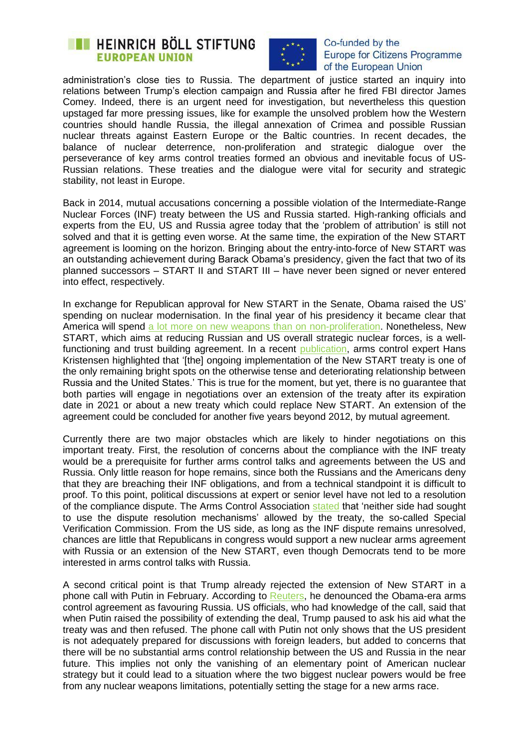# **EXECUTE HEINRICH BÖLL STIFTUNG EUROPEAN UNION**



#### Co-funded by the **Europe for Citizens Programme** of the European Union

administration's close ties to Russia. The department of justice started an inquiry into relations between Trump"s election campaign and Russia after he fired FBI director James Comey. Indeed, there is an urgent need for investigation, but nevertheless this question upstaged far more pressing issues, like for example the unsolved problem how the Western countries should handle Russia, the illegal annexation of Crimea and possible Russian nuclear threats against Eastern Europe or the Baltic countries. In recent decades, the balance of nuclear deterrence, non-proliferation and strategic dialogue over the perseverance of key arms control treaties formed an obvious and inevitable focus of US-Russian relations. These treaties and the dialogue were vital for security and strategic stability, not least in Europe.

Back in 2014, mutual accusations concerning a possible violation of the Intermediate-Range Nuclear Forces (INF) treaty between the US and Russia started. High-ranking officials and experts from the EU, US and Russia agree today that the "problem of attribution" is still not solved and that it is getting even worse. At the same time, the expiration of the New START agreement is looming on the horizon. Bringing about the entry-into-force of New START was an outstanding achievement during Barack Obama"s presidency, given the fact that two of its planned successors – START II and START III – have never been signed or never entered into effect, respectively.

In exchange for Republican approval for New START in the Senate, Obama raised the US' spending on nuclear modernisation. In the final year of his presidency it became clear that America will spend [a lot more on new weapons than on non-proliferation.](http://www.npr.org/sections/parallels/2016/05/25/479498018/obamas-nuclear-paradox-pushing-for-cuts-agreeing-to-upgrades) Nonetheless, New START, which aims at reducing Russian and US overall strategic nuclear forces, is a wellfunctioning and trust building agreement. In a recent [publication,](https://fas.org/blogs/security/2016/10/new-start-data-2016/) arms control expert Hans Kristensen highlighted that "[the] ongoing implementation of the New START treaty is one of the only remaining bright spots on the otherwise tense and deteriorating relationship between Russia and the United States." This is true for the moment, but yet, there is no guarantee that both parties will engage in negotiations over an extension of the treaty after its expiration date in 2021 or about a new treaty which could replace New START. An extension of the agreement could be concluded for another five years beyond 2012, by mutual agreement.

Currently there are two major obstacles which are likely to hinder negotiations on this important treaty. First, the resolution of concerns about the compliance with the INF treaty would be a prerequisite for further arms control talks and agreements between the US and Russia. Only little reason for hope remains, since both the Russians and the Americans deny that they are breaching their INF obligations, and from a technical standpoint it is difficult to proof. To this point, political discussions at expert or senior level have not led to a resolution of the compliance dispute. The Arms Control Association [stated](https://www.armscontrol.org/Issue-Briefs/2016-10-25/Next-Steps-on-US-Russian-INF-Treaty-Dispute) that "neither side had sought to use the dispute resolution mechanisms" allowed by the treaty, the so-called Special Verification Commission. From the US side, as long as the INF dispute remains unresolved, chances are little that Republicans in congress would support a new nuclear arms agreement with Russia or an extension of the New START, even though Democrats tend to be more interested in arms control talks with Russia.

A second critical point is that Trump already rejected the extension of New START in a phone call with Putin in February. According to [Reuters,](http://www.reuters.com/article/us-usa-trump-putin-idUSKBN15O2A5) he denounced the Obama-era arms control agreement as favouring Russia. US officials, who had knowledge of the call, said that when Putin raised the possibility of extending the deal, Trump paused to ask his aid what the treaty was and then refused. The phone call with Putin not only shows that the US president is not adequately prepared for discussions with foreign leaders, but added to concerns that there will be no substantial arms control relationship between the US and Russia in the near future. This implies not only the vanishing of an elementary point of American nuclear strategy but it could lead to a situation where the two biggest nuclear powers would be free from any nuclear weapons limitations, potentially setting the stage for a new arms race.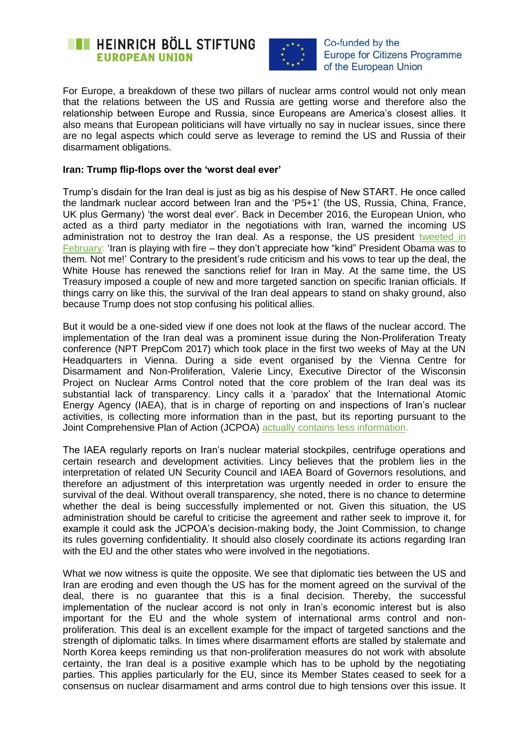



Co-funded by the **Europe for Citizens Programme** of the European Union

For Europe, a breakdown of these two pillars of nuclear arms control would not only mean that the relations between the US and Russia are getting worse and therefore also the relationship between Europe and Russia, since Europeans are America's closest allies. It also means that European politicians will have virtually no say in nuclear issues, since there are no legal aspects which could serve as leverage to remind the US and Russia of their disarmament obligations.

#### **Iran: Trump flip-flops over the 'worst deal ever'**

Trump"s disdain for the Iran deal is just as big as his despise of New START. He once called the landmark nuclear accord between Iran and the "P5+1" (the US, Russia, China, France, UK plus Germany) 'the worst deal ever'. Back in December 2016, the European Union, who acted as a third party mediator in the negotiations with Iran, warned the incoming US administration not to destroy the Iran deal. As a response, the US president tweeted in [February:](http://www.bbc.com/news/world-us-canada-39950827) 'Iran is playing with fire – they don't appreciate how "kind" President Obama was to them. Not me!" Contrary to the president"s rude criticism and his vows to tear up the deal, the White House has renewed the sanctions relief for Iran in May. At the same time, the US Treasury imposed a couple of new and more targeted sanction on specific Iranian officials. If things carry on like this, the survival of the Iran deal appears to stand on shaky ground, also because Trump does not stop confusing his political allies.

But it would be a one-sided view if one does not look at the flaws of the nuclear accord. The implementation of the Iran deal was a prominent issue during the Non-Proliferation Treaty conference (NPT PrepCom 2017) which took place in the first two weeks of May at the UN Headquarters in Vienna. During a side event organised by the Vienna Centre for Disarmament and Non-Proliferation, Valerie Lincy, Executive Director of the Wisconsin Project on Nuclear Arms Control noted that the core problem of the Iran deal was its substantial lack of transparency. Lincy calls it a "paradox" that the International Atomic Energy Agency (IAEA), that is in charge of reporting on and inspections of Iran"s nuclear activities, is collecting more information than in the past, but its reporting pursuant to the Joint Comprehensive Plan of Action (JCPOA) [actually contains less information.](http://www.iranwatch.org/sites/default/files/iran_watch_report_-_transparency_02-01-2017_1.pdf)

The IAEA regularly reports on Iran"s nuclear material stockpiles, centrifuge operations and certain research and development activities. Lincy believes that the problem lies in the interpretation of related UN Security Council and IAEA Board of Governors resolutions, and therefore an adjustment of this interpretation was urgently needed in order to ensure the survival of the deal. Without overall transparency, she noted, there is no chance to determine whether the deal is being successfully implemented or not. Given this situation, the US administration should be careful to criticise the agreement and rather seek to improve it, for example it could ask the JCPOA's decision-making body, the Joint Commission, to change its rules governing confidentiality. It should also closely coordinate its actions regarding Iran with the EU and the other states who were involved in the negotiations.

What we now witness is quite the opposite. We see that diplomatic ties between the US and Iran are eroding and even though the US has for the moment agreed on the survival of the deal, there is no guarantee that this is a final decision. Thereby, the successful implementation of the nuclear accord is not only in Iran"s economic interest but is also important for the EU and the whole system of international arms control and nonproliferation. This deal is an excellent example for the impact of targeted sanctions and the strength of diplomatic talks. In times where disarmament efforts are stalled by stalemate and North Korea keeps reminding us that non-proliferation measures do not work with absolute certainty, the Iran deal is a positive example which has to be uphold by the negotiating parties. This applies particularly for the EU, since its Member States ceased to seek for a consensus on nuclear disarmament and arms control due to high tensions over this issue. It